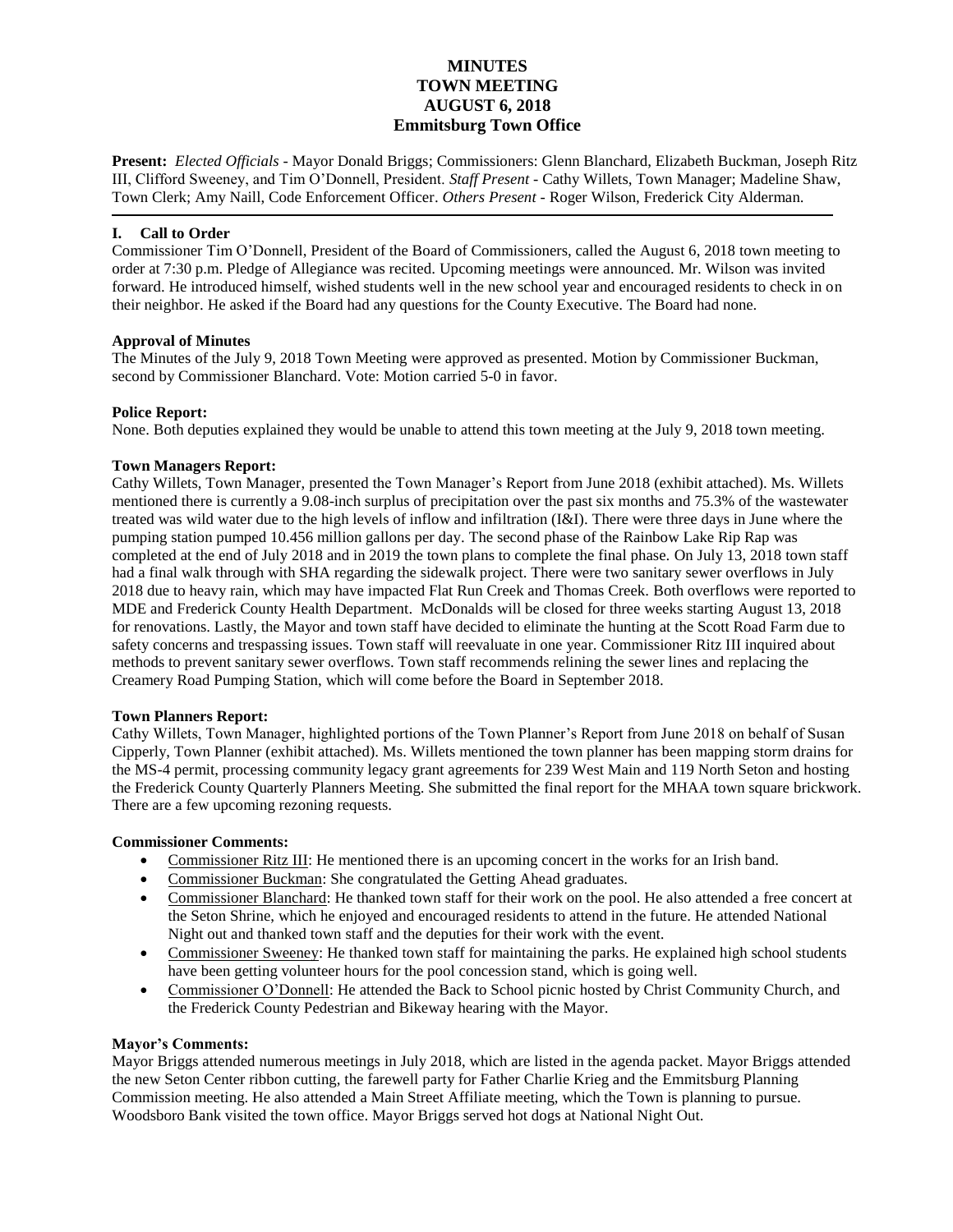# **MINUTES TOWN MEETING AUGUST 6, 2018 Emmitsburg Town Office**

**Present:** *Elected Officials* - Mayor Donald Briggs; Commissioners: Glenn Blanchard, Elizabeth Buckman, Joseph Ritz III, Clifford Sweeney, and Tim O'Donnell, President. *Staff Present* - Cathy Willets, Town Manager; Madeline Shaw, Town Clerk; Amy Naill, Code Enforcement Officer. *Others Present* - Roger Wilson, Frederick City Alderman.

## **I. Call to Order**

Commissioner Tim O'Donnell, President of the Board of Commissioners, called the August 6, 2018 town meeting to order at 7:30 p.m. Pledge of Allegiance was recited. Upcoming meetings were announced. Mr. Wilson was invited forward. He introduced himself, wished students well in the new school year and encouraged residents to check in on their neighbor. He asked if the Board had any questions for the County Executive. The Board had none.

## **Approval of Minutes**

The Minutes of the July 9, 2018 Town Meeting were approved as presented. Motion by Commissioner Buckman, second by Commissioner Blanchard. Vote: Motion carried 5-0 in favor.

## **Police Report:**

None. Both deputies explained they would be unable to attend this town meeting at the July 9, 2018 town meeting.

### **Town Managers Report:**

Cathy Willets, Town Manager, presented the Town Manager's Report from June 2018 (exhibit attached). Ms. Willets mentioned there is currently a 9.08-inch surplus of precipitation over the past six months and 75.3% of the wastewater treated was wild water due to the high levels of inflow and infiltration (I&I). There were three days in June where the pumping station pumped 10.456 million gallons per day. The second phase of the Rainbow Lake Rip Rap was completed at the end of July 2018 and in 2019 the town plans to complete the final phase. On July 13, 2018 town staff had a final walk through with SHA regarding the sidewalk project. There were two sanitary sewer overflows in July 2018 due to heavy rain, which may have impacted Flat Run Creek and Thomas Creek. Both overflows were reported to MDE and Frederick County Health Department. McDonalds will be closed for three weeks starting August 13, 2018 for renovations. Lastly, the Mayor and town staff have decided to eliminate the hunting at the Scott Road Farm due to safety concerns and trespassing issues. Town staff will reevaluate in one year. Commissioner Ritz III inquired about methods to prevent sanitary sewer overflows. Town staff recommends relining the sewer lines and replacing the Creamery Road Pumping Station, which will come before the Board in September 2018.

## **Town Planners Report:**

Cathy Willets, Town Manager, highlighted portions of the Town Planner's Report from June 2018 on behalf of Susan Cipperly, Town Planner (exhibit attached). Ms. Willets mentioned the town planner has been mapping storm drains for the MS-4 permit, processing community legacy grant agreements for 239 West Main and 119 North Seton and hosting the Frederick County Quarterly Planners Meeting. She submitted the final report for the MHAA town square brickwork. There are a few upcoming rezoning requests.

## **Commissioner Comments:**

- Commissioner Ritz III: He mentioned there is an upcoming concert in the works for an Irish band.
- Commissioner Buckman: She congratulated the Getting Ahead graduates.
- Commissioner Blanchard: He thanked town staff for their work on the pool. He also attended a free concert at the Seton Shrine, which he enjoyed and encouraged residents to attend in the future. He attended National Night out and thanked town staff and the deputies for their work with the event.
- Commissioner Sweeney: He thanked town staff for maintaining the parks. He explained high school students have been getting volunteer hours for the pool concession stand, which is going well.
- Commissioner O'Donnell: He attended the Back to School picnic hosted by Christ Community Church, and the Frederick County Pedestrian and Bikeway hearing with the Mayor.

#### **Mayor's Comments:**

Mayor Briggs attended numerous meetings in July 2018, which are listed in the agenda packet. Mayor Briggs attended the new Seton Center ribbon cutting, the farewell party for Father Charlie Krieg and the Emmitsburg Planning Commission meeting. He also attended a Main Street Affiliate meeting, which the Town is planning to pursue. Woodsboro Bank visited the town office. Mayor Briggs served hot dogs at National Night Out.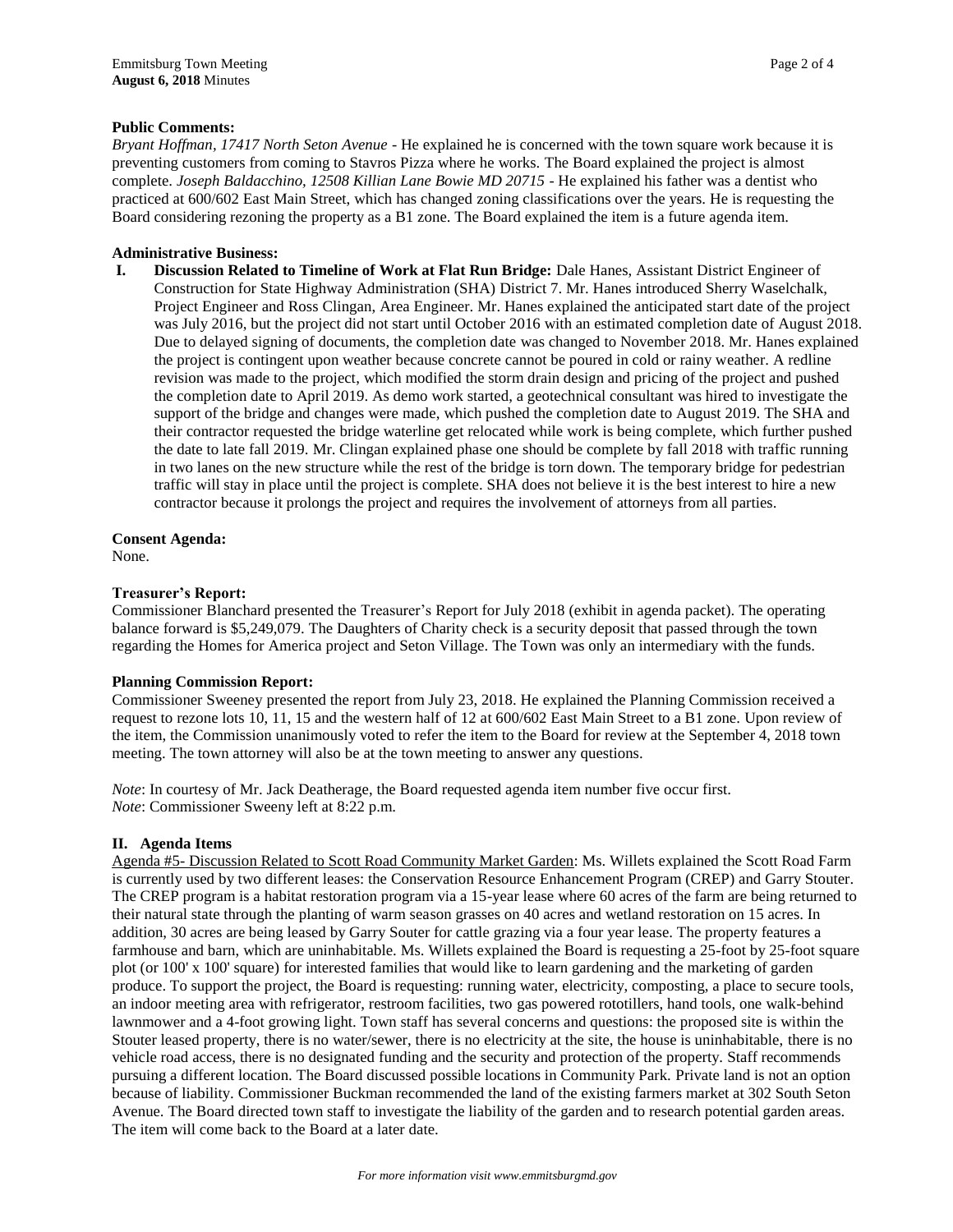### **Public Comments:**

*Bryant Hoffman, 17417 North Seton Avenue -* He explained he is concerned with the town square work because it is preventing customers from coming to Stavros Pizza where he works. The Board explained the project is almost complete. *Joseph Baldacchino, 12508 Killian Lane Bowie MD 20715* - He explained his father was a dentist who practiced at 600/602 East Main Street, which has changed zoning classifications over the years. He is requesting the Board considering rezoning the property as a B1 zone. The Board explained the item is a future agenda item.

### **Administrative Business:**

**I. Discussion Related to Timeline of Work at Flat Run Bridge:** Dale Hanes, Assistant District Engineer of Construction for State Highway Administration (SHA) District 7. Mr. Hanes introduced Sherry Waselchalk, Project Engineer and Ross Clingan, Area Engineer. Mr. Hanes explained the anticipated start date of the project was July 2016, but the project did not start until October 2016 with an estimated completion date of August 2018. Due to delayed signing of documents, the completion date was changed to November 2018. Mr. Hanes explained the project is contingent upon weather because concrete cannot be poured in cold or rainy weather. A redline revision was made to the project, which modified the storm drain design and pricing of the project and pushed the completion date to April 2019. As demo work started, a geotechnical consultant was hired to investigate the support of the bridge and changes were made, which pushed the completion date to August 2019. The SHA and their contractor requested the bridge waterline get relocated while work is being complete, which further pushed the date to late fall 2019. Mr. Clingan explained phase one should be complete by fall 2018 with traffic running in two lanes on the new structure while the rest of the bridge is torn down. The temporary bridge for pedestrian traffic will stay in place until the project is complete. SHA does not believe it is the best interest to hire a new contractor because it prolongs the project and requires the involvement of attorneys from all parties.

**Consent Agenda:**

None.

### **Treasurer's Report:**

Commissioner Blanchard presented the Treasurer's Report for July 2018 (exhibit in agenda packet). The operating balance forward is \$5,249,079. The Daughters of Charity check is a security deposit that passed through the town regarding the Homes for America project and Seton Village. The Town was only an intermediary with the funds.

#### **Planning Commission Report:**

Commissioner Sweeney presented the report from July 23, 2018. He explained the Planning Commission received a request to rezone lots 10, 11, 15 and the western half of 12 at 600/602 East Main Street to a B1 zone. Upon review of the item, the Commission unanimously voted to refer the item to the Board for review at the September 4, 2018 town meeting. The town attorney will also be at the town meeting to answer any questions.

*Note*: In courtesy of Mr. Jack Deatherage, the Board requested agenda item number five occur first. *Note*: Commissioner Sweeny left at 8:22 p.m.

## **II. Agenda Items**

Agenda #5- Discussion Related to Scott Road Community Market Garden: Ms. Willets explained the Scott Road Farm is currently used by two different leases: the Conservation Resource Enhancement Program (CREP) and Garry Stouter. The CREP program is a habitat restoration program via a 15-year lease where 60 acres of the farm are being returned to their natural state through the planting of warm season grasses on 40 acres and wetland restoration on 15 acres. In addition, 30 acres are being leased by Garry Souter for cattle grazing via a four year lease. The property features a farmhouse and barn, which are uninhabitable. Ms. Willets explained the Board is requesting a 25-foot by 25-foot square plot (or 100' x 100' square) for interested families that would like to learn gardening and the marketing of garden produce. To support the project, the Board is requesting: running water, electricity, composting, a place to secure tools, an indoor meeting area with refrigerator, restroom facilities, two gas powered rototillers, hand tools, one walk-behind lawnmower and a 4-foot growing light. Town staff has several concerns and questions: the proposed site is within the Stouter leased property, there is no water/sewer, there is no electricity at the site, the house is uninhabitable, there is no vehicle road access, there is no designated funding and the security and protection of the property. Staff recommends pursuing a different location. The Board discussed possible locations in Community Park. Private land is not an option because of liability. Commissioner Buckman recommended the land of the existing farmers market at 302 South Seton Avenue. The Board directed town staff to investigate the liability of the garden and to research potential garden areas. The item will come back to the Board at a later date.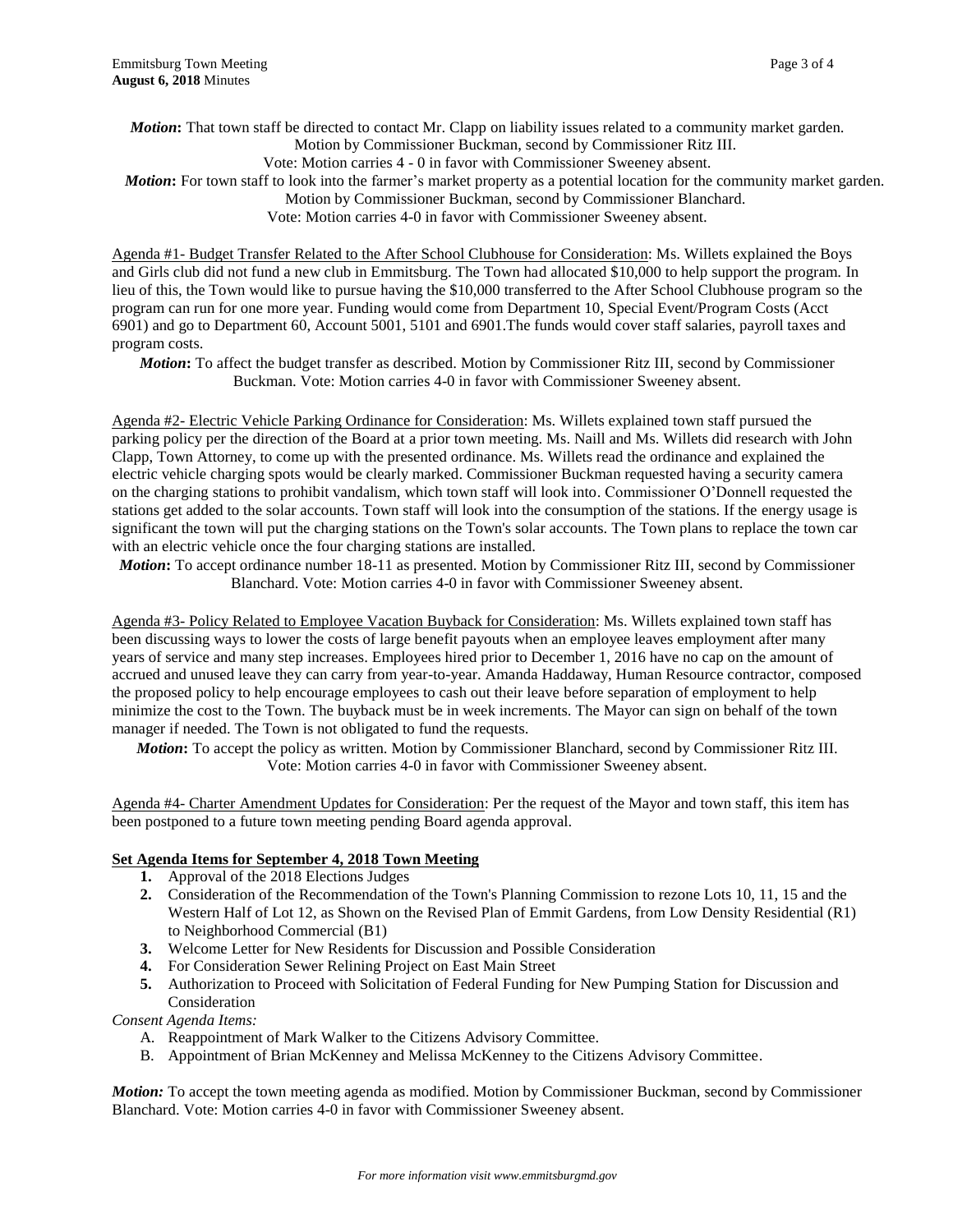*Motion***:** That town staff be directed to contact Mr. Clapp on liability issues related to a community market garden. Motion by Commissioner Buckman, second by Commissioner Ritz III. Vote: Motion carries 4 - 0 in favor with Commissioner Sweeney absent. *Motion*: For town staff to look into the farmer's market property as a potential location for the community market garden. Motion by Commissioner Buckman, second by Commissioner Blanchard.

Vote: Motion carries 4-0 in favor with Commissioner Sweeney absent.

Agenda #1- Budget Transfer Related to the After School Clubhouse for Consideration: Ms. Willets explained the Boys and Girls club did not fund a new club in Emmitsburg. The Town had allocated \$10,000 to help support the program. In lieu of this, the Town would like to pursue having the \$10,000 transferred to the After School Clubhouse program so the program can run for one more year. Funding would come from Department 10, Special Event/Program Costs (Acct 6901) and go to Department 60, Account 5001, 5101 and 6901.The funds would cover staff salaries, payroll taxes and program costs.

*Motion***:** To affect the budget transfer as described. Motion by Commissioner Ritz III, second by Commissioner Buckman. Vote: Motion carries 4-0 in favor with Commissioner Sweeney absent.

Agenda #2- Electric Vehicle Parking Ordinance for Consideration: Ms. Willets explained town staff pursued the parking policy per the direction of the Board at a prior town meeting. Ms. Naill and Ms. Willets did research with John Clapp, Town Attorney, to come up with the presented ordinance. Ms. Willets read the ordinance and explained the electric vehicle charging spots would be clearly marked. Commissioner Buckman requested having a security camera on the charging stations to prohibit vandalism, which town staff will look into. Commissioner O'Donnell requested the stations get added to the solar accounts. Town staff will look into the consumption of the stations. If the energy usage is significant the town will put the charging stations on the Town's solar accounts. The Town plans to replace the town car with an electric vehicle once the four charging stations are installed.

*Motion***:** To accept ordinance number 18-11 as presented. Motion by Commissioner Ritz III, second by Commissioner Blanchard. Vote: Motion carries 4-0 in favor with Commissioner Sweeney absent.

Agenda #3- Policy Related to Employee Vacation Buyback for Consideration: Ms. Willets explained town staff has been discussing ways to lower the costs of large benefit payouts when an employee leaves employment after many years of service and many step increases. Employees hired prior to December 1, 2016 have no cap on the amount of accrued and unused leave they can carry from year-to-year. Amanda Haddaway, Human Resource contractor, composed the proposed policy to help encourage employees to cash out their leave before separation of employment to help minimize the cost to the Town. The buyback must be in week increments. The Mayor can sign on behalf of the town manager if needed. The Town is not obligated to fund the requests.

*Motion***:** To accept the policy as written. Motion by Commissioner Blanchard, second by Commissioner Ritz III. Vote: Motion carries 4-0 in favor with Commissioner Sweeney absent.

Agenda #4- Charter Amendment Updates for Consideration: Per the request of the Mayor and town staff, this item has been postponed to a future town meeting pending Board agenda approval.

#### **Set Agenda Items for September 4, 2018 Town Meeting**

- **1.** Approval of the 2018 Elections Judges
- **2.** Consideration of the Recommendation of the Town's Planning Commission to rezone Lots 10, 11, 15 and the Western Half of Lot 12, as Shown on the Revised Plan of Emmit Gardens, from Low Density Residential (R1) to Neighborhood Commercial (B1)
- **3.** Welcome Letter for New Residents for Discussion and Possible Consideration
- **4.** For Consideration Sewer Relining Project on East Main Street
- **5.** Authorization to Proceed with Solicitation of Federal Funding for New Pumping Station for Discussion and Consideration

# *Consent Agenda Items:*

- A. Reappointment of Mark Walker to the Citizens Advisory Committee.
- B. Appointment of Brian McKenney and Melissa McKenney to the Citizens Advisory Committee.

*Motion:* To accept the town meeting agenda as modified. Motion by Commissioner Buckman, second by Commissioner Blanchard. Vote: Motion carries 4-0 in favor with Commissioner Sweeney absent.